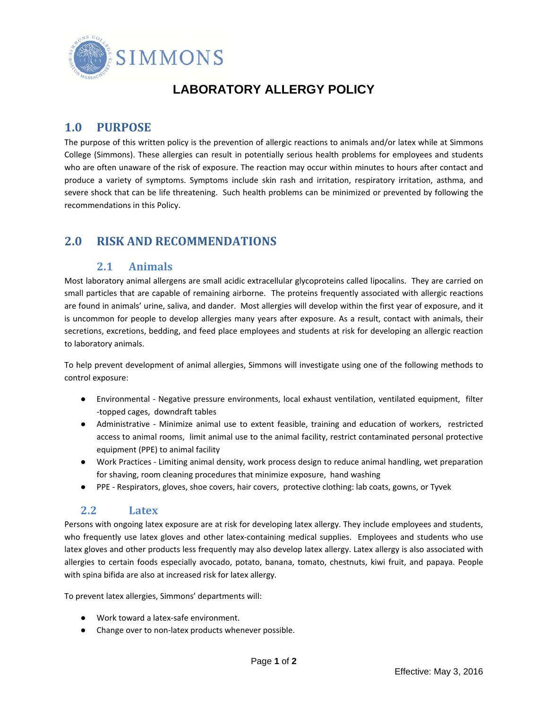

# **LABORATORY ALLERGY POLICY**

### **1.0 PURPOSE**

The purpose of this written policy is the prevention of allergic reactions to animals and/or latex while at Simmons College (Simmons). These allergies can result in potentially serious health problems for employees and students who are often unaware of the risk of exposure. The reaction may occur within minutes to hours after contact and produce a variety of symptoms. Symptoms include skin rash and irritation, respiratory irritation, asthma, and severe shock that can be life threatening. Such health problems can be minimized or prevented by following the recommendations in this Policy.

## **2.0 RISK AND RECOMMENDATIONS**

#### **2.1 Animals**

Most laboratory animal allergens are small acidic extracellular glycoproteins called lipocalins. They are carried on small particles that are capable of remaining airborne. The proteins frequently associated with allergic reactions are found in animals' urine, saliva, and dander. Most allergies will develop within the first year of exposure, and it is uncommon for people to develop allergies many years after exposure. As a result, contact with animals, their secretions, excretions, bedding, and feed place employees and students at risk for developing an allergic reaction to laboratory animals.

To help prevent development of animal allergies, Simmons will investigate using one of the following methods to control exposure:

- Environmental ‐ Negative pressure environments, local exhaust ventilation, ventilated equipment, filter ‐topped cages, downdraft tables
- Administrative ‐ Minimize animal use to extent feasible, training and education of workers, restricted access to animal rooms, limit animal use to the animal facility, restrict contaminated personal protective equipment (PPE) to animal facility
- Work Practices Limiting animal density, work process design to reduce animal handling, wet preparation for shaving, room cleaning procedures that minimize exposure, hand washing
- PPE Respirators, gloves, shoe covers, hair covers, protective clothing: lab coats, gowns, or Tyvek

#### **2.2 Latex**

Persons with ongoing latex exposure are at risk for developing latex allergy. They include employees and students, who frequently use latex gloves and other latex-containing medical supplies. Employees and students who use latex gloves and other products less frequently may also develop latex allergy. Latex allergy is also associated with allergies to certain foods especially avocado, potato, banana, tomato, chestnuts, kiwi fruit, and papaya. People with spina bifida are also at increased risk for latex allergy.

To prevent latex allergies, Simmons' departments will:

- Work toward a latex-safe environment.
- Change over to non-latex products whenever possible.